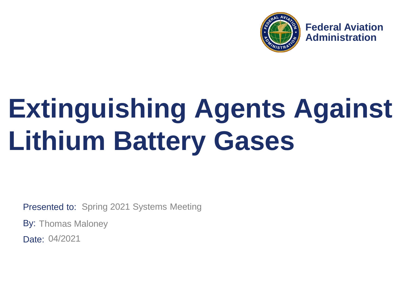

**Federal Aviation Administration**

# **Extinguishing Agents Against Lithium Battery Gases**

Presented to: Spring 2021 Systems Meeting

By: Thomas Maloney

Date: 04/2021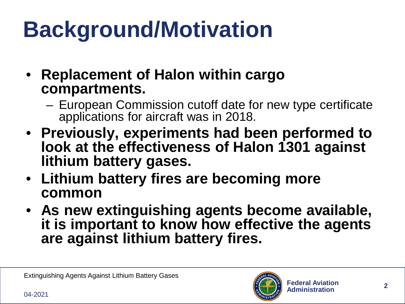## **Background/Motivation**

- **Replacement of Halon within cargo compartments.**
	- European Commission cutoff date for new type certificate applications for aircraft was in 2018.
- **Previously, experiments had been performed to look at the effectiveness of Halon 1301 against lithium battery gases.**
- **Lithium battery fires are becoming more common**
- **As new extinguishing agents become available, it is important to know how effective the agents are against lithium battery fires.**

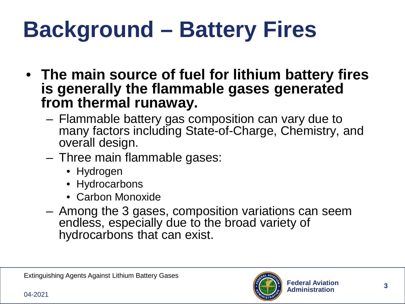#### **Background – Battery Fires**

- **The main source of fuel for lithium battery fires is generally the flammable gases generated from thermal runaway.**
	- Flammable battery gas composition can vary due to many factors including State-of-Charge, Chemistry, and overall design.
	- Three main flammable gases:
		- Hydrogen
		- Hydrocarbons
		- Carbon Monoxide
	- Among the 3 gases, composition variations can seem endless, especially due to the broad variety of hydrocarbons that can exist.

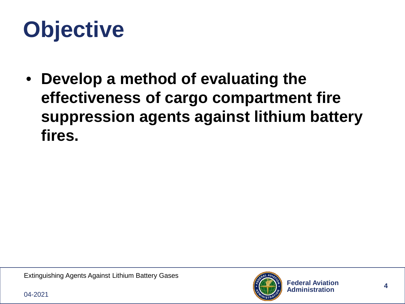### **Objective**

• **Develop a method of evaluating the effectiveness of cargo compartment fire suppression agents against lithium battery fires.**

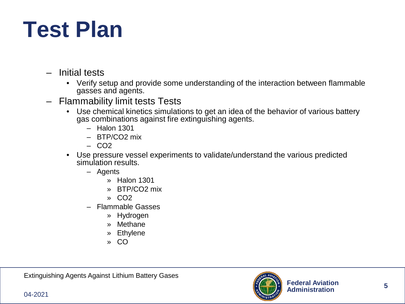#### **Test Plan**

- Initial tests
	- Verify setup and provide some understanding of the interaction between flammable gasses and agents.
- Flammability limit tests Tests
	- Use chemical kinetics simulations to get an idea of the behavior of various battery gas combinations against fire extinguishing agents.
		- Halon 1301
		- BTP/CO2 mix
		- CO2
	- Use pressure vessel experiments to validate/understand the various predicted simulation results.
		- Agents
			- » Halon 1301
			- » BTP/CO2 mix
			- » CO2
		- Flammable Gasses
			- » Hydrogen
			- » Methane
			- » Ethylene
			- » CO

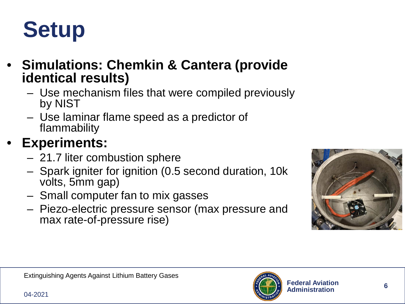

- **Simulations: Chemkin & Cantera (provide identical results)**
	- Use mechanism files that were compiled previously by NIST
	- Use laminar flame speed as a predictor of flammability

#### • **Experiments:**

- 21.7 liter combustion sphere
- Spark igniter for ignition (0.5 second duration, 10k volts, 5mm gap)
- Small computer fan to mix gasses
- Piezo-electric pressure sensor (max pressure and max rate-of-pressure rise)



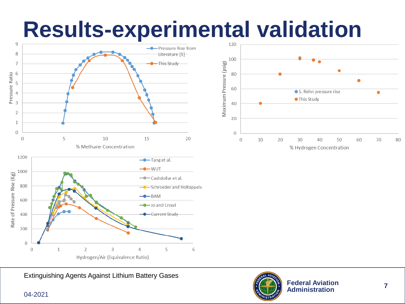## **Results-experimental validation**







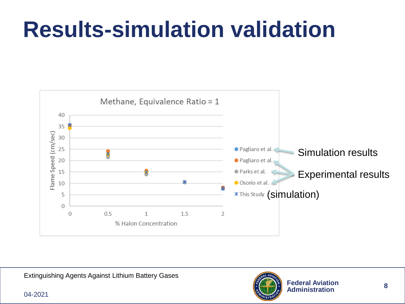#### **Results-simulation validation**



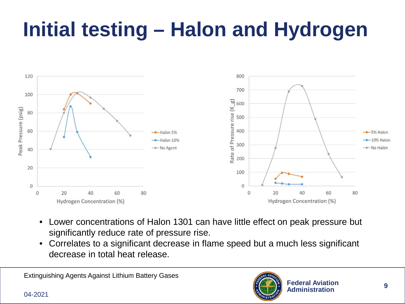#### **Initial testing – Halon and Hydrogen**



- Lower concentrations of Halon 1301 can have little effect on peak pressure but significantly reduce rate of pressure rise.
- Correlates to a significant decrease in flame speed but a much less significant decrease in total heat release.

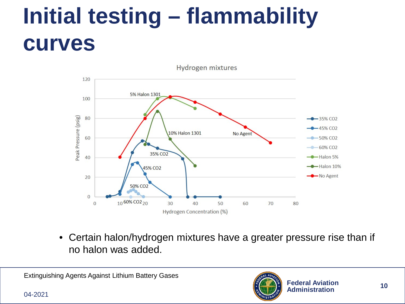#### **Initial testing – flammability curves**



• Certain halon/hydrogen mixtures have a greater pressure rise than if no halon was added.

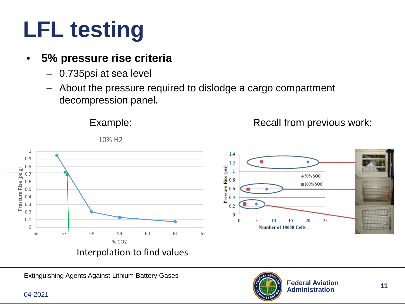### **LFL testing**

#### • **5% pressure rise criteria**

- 0.735psi at sea level
- About the pressure required to dislodge a cargo compartment decompression panel.



10% H2

Example:

Interpolation to find values

Extinguishing Agents Against Lithium Battery Gases

04-2021



25

 $\triangle$  50% SOC

■100% SOC

20

Pressure Rise (psi)

Recall from previous work:

 $1.4$  $1.2$ 

 $\mathbf{1}$ 

 $0.8$ 

 $0.6$  $0.4$  $0.2$  $\bf{0}$ 

 $\bf{0}$ 

5

10

Number of 18650 Cells

15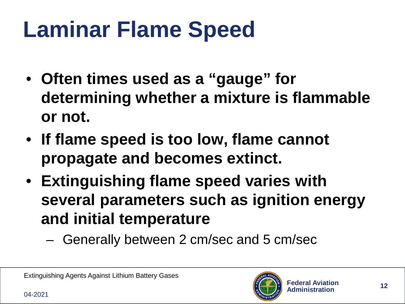### **Laminar Flame Speed**

- **Often times used as a "gauge" for determining whether a mixture is flammable or not.**
- **If flame speed is too low, flame cannot propagate and becomes extinct.**
- **Extinguishing flame speed varies with several parameters such as ignition energy and initial temperature**
	- Generally between 2 cm/sec and 5 cm/sec

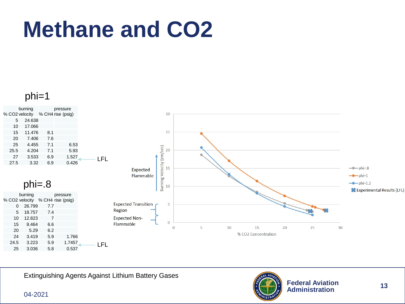#### **Methane and CO2**

phi=1



Extinguishing Agents Against Lithium Battery Gases

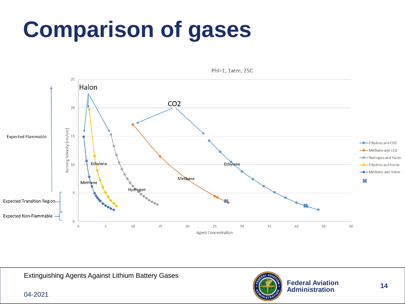#### **Comparison of gases**



Phi=1, 1atm, 25C

Extinguishing Agents Against Lithium Battery Gases

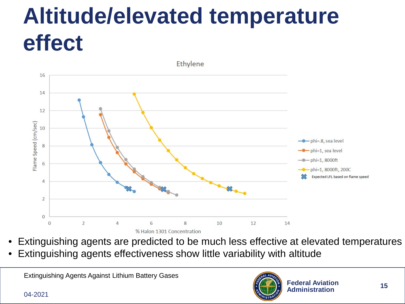#### **Altitude/elevated temperature effect**



- Extinguishing agents are predicted to be much less effective at elevated temperatures
- Extinguishing agents effectiveness show little variability with altitude

Extinguishing Agents Against Lithium Battery Gases

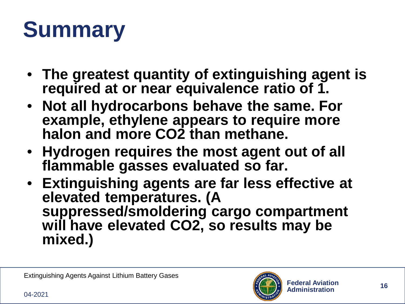## **Summary**

- **The greatest quantity of extinguishing agent is required at or near equivalence ratio of 1.**
- **Not all hydrocarbons behave the same. For example, ethylene appears to require more halon and more CO2 than methane.**
- **Hydrogen requires the most agent out of all flammable gasses evaluated so far.**
- **Extinguishing agents are far less effective at elevated temperatures. (A suppressed/smoldering cargo compartment will have elevated CO2, so results may be mixed.)**

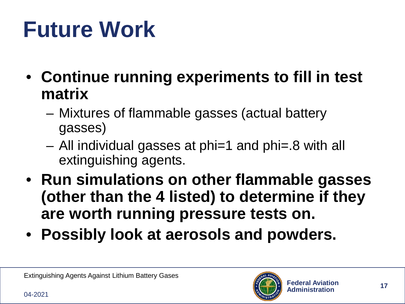#### **Future Work**

- **Continue running experiments to fill in test matrix**
	- Mixtures of flammable gasses (actual battery gasses)
	- All individual gasses at phi=1 and phi=.8 with all extinguishing agents.
- **Run simulations on other flammable gasses (other than the 4 listed) to determine if they are worth running pressure tests on.**
- **Possibly look at aerosols and powders.**